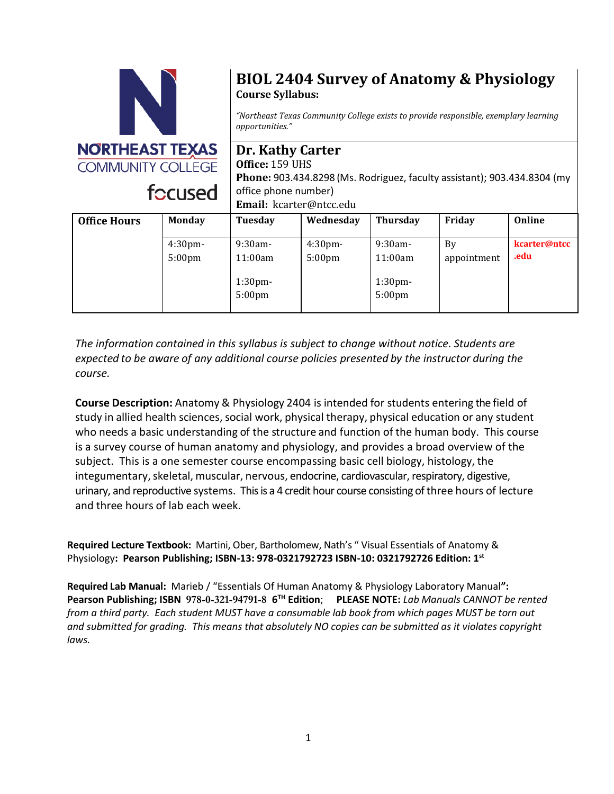

# **BIOL 2404 Survey of Anatomy & Physiology Course Syllabus:**

*"Northeast Texas Community College exists to provide responsible, exemplary learning opportunities."*

**Dr. Kathy Carter Office:** 159 UHS **Phone:** 903.434.8298 (Ms. Rodriguez, faculty assistant); 903.434.8304 (my office phone number) **Email:** kcarter@ntcc.edu

| <b>Office Hours</b> | <b>Monday</b>      | Tuesday                                  | Wednesday          | <b>Thursday</b>                          | Friday      | Online       |
|---------------------|--------------------|------------------------------------------|--------------------|------------------------------------------|-------------|--------------|
|                     | 4:30 <sub>pm</sub> | $9:30$ am-                               | 4:30 <sub>pm</sub> | $9:30$ am-                               | By          | kcarter@ntcc |
|                     | 5:00 <sub>pm</sub> | 11:00am                                  | 5:00 <sub>pm</sub> | 11:00am                                  | appointment | .edu         |
|                     |                    | 1:30 <sub>pm</sub><br>5:00 <sub>pm</sub> |                    | 1:30 <sub>pm</sub><br>5:00 <sub>pm</sub> |             |              |

*The information contained in this syllabus is subject to change without notice. Students are expected to be aware of any additional course policies presented by the instructor during the course.*

**Course Description:** Anatomy & Physiology 2404 is intended for students entering the field of study in allied health sciences, social work, physical therapy, physical education or any student who needs a basic understanding of the structure and function of the human body. This course is a survey course of human anatomy and physiology, and provides a broad overview of the subject. This is a one semester course encompassing basic cell biology, histology, the integumentary, skeletal, muscular, nervous, endocrine, cardiovascular, respiratory, digestive, urinary, and reproductive systems. This is a 4 credit hour course consisting of three hours of lecture and three hours of lab each week.

**Required Lecture Textbook:** Martini, Ober, Bartholomew, Nath's " Visual Essentials of Anatomy & Physiology**: Pearson Publishing; ISBN-13: 978-0321792723 ISBN-10: 0321792726 Edition: 1st**

**Required Lab Manual:** Marieb / "Essentials Of Human Anatomy & Physiology Laboratory Manual**": Pearson Publishing; ISBN 978-0-321-94791-8 6 TH Edition**; **PLEASE NOTE:** *Lab Manuals CANNOT be rented from a third party. Each student MUST have a consumable lab book from which pages MUST be torn out and submitted for grading. This means that absolutely NO copies can be submitted as it violates copyright laws.*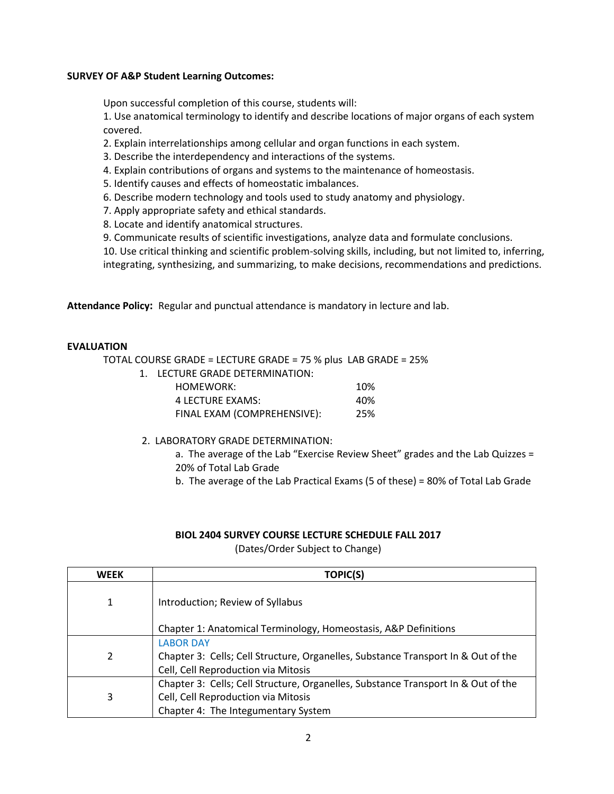### **SURVEY OF A&P Student Learning Outcomes:**

Upon successful completion of this course, students will:

1. Use anatomical terminology to identify and describe locations of major organs of each system covered.

2. Explain interrelationships among cellular and organ functions in each system.

- 3. Describe the interdependency and interactions of the systems.
- 4. Explain contributions of organs and systems to the maintenance of homeostasis.
- 5. Identify causes and effects of homeostatic imbalances.
- 6. Describe modern technology and tools used to study anatomy and physiology.
- 7. Apply appropriate safety and ethical standards.
- 8. Locate and identify anatomical structures.
- 9. Communicate results of scientific investigations, analyze data and formulate conclusions.

10. Use critical thinking and scientific problem-solving skills, including, but not limited to, inferring, integrating, synthesizing, and summarizing, to make decisions, recommendations and predictions.

**Attendance Policy:** Regular and punctual attendance is mandatory in lecture and lab.

### **EVALUATION**

TOTAL COURSE GRADE = LECTURE GRADE = 75 % plus LAB GRADE = 25%

1. LECTURE GRADE DETERMINATION:

| HOMEWORK:                   | 10% |
|-----------------------------|-----|
| 4 LECTURE EXAMS:            | 40% |
| FINAL EXAM (COMPREHENSIVE): | 25% |

- 2. LABORATORY GRADE DETERMINATION:
	- a. The average of the Lab "Exercise Review Sheet" grades and the Lab Quizzes = 20% of Total Lab Grade
	- b. The average of the Lab Practical Exams (5 of these) = 80% of Total Lab Grade

#### **BIOL 2404 SURVEY COURSE LECTURE SCHEDULE FALL 2017**

(Dates/Order Subject to Change)

| <b>WEEK</b> | <b>TOPIC(S)</b>                                                                   |
|-------------|-----------------------------------------------------------------------------------|
| 1           | Introduction; Review of Syllabus                                                  |
|             | Chapter 1: Anatomical Terminology, Homeostasis, A&P Definitions                   |
|             | <b>LABOR DAY</b>                                                                  |
| 2           | Chapter 3: Cells; Cell Structure, Organelles, Substance Transport In & Out of the |
|             | Cell, Cell Reproduction via Mitosis                                               |
|             | Chapter 3: Cells; Cell Structure, Organelles, Substance Transport In & Out of the |
| 3           | Cell, Cell Reproduction via Mitosis                                               |
|             | Chapter 4: The Integumentary System                                               |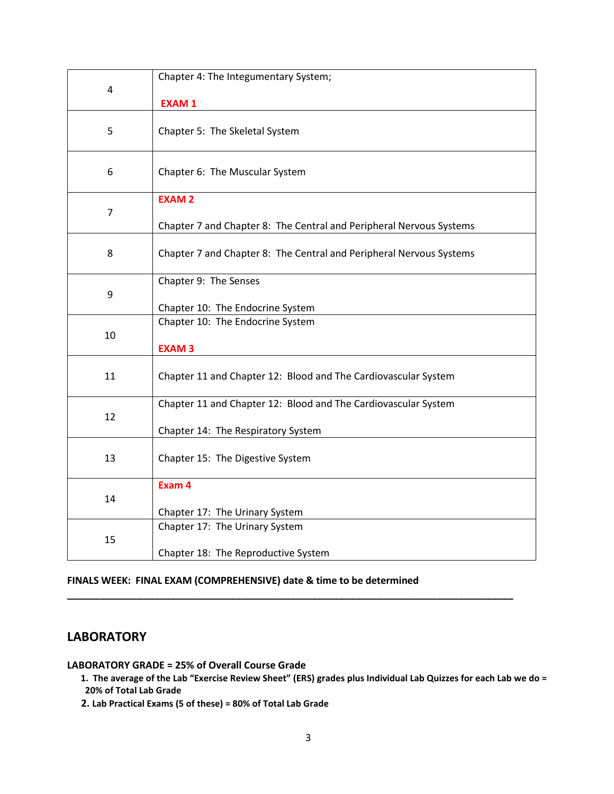| 4              | Chapter 4: The Integumentary System;                                |  |  |  |
|----------------|---------------------------------------------------------------------|--|--|--|
|                | <b>EXAM1</b>                                                        |  |  |  |
|                |                                                                     |  |  |  |
| 5              | Chapter 5: The Skeletal System                                      |  |  |  |
| 6              | Chapter 6: The Muscular System                                      |  |  |  |
|                | <b>EXAM2</b>                                                        |  |  |  |
| $\overline{7}$ |                                                                     |  |  |  |
|                | Chapter 7 and Chapter 8: The Central and Peripheral Nervous Systems |  |  |  |
| 8              | Chapter 7 and Chapter 8: The Central and Peripheral Nervous Systems |  |  |  |
| 9              | Chapter 9: The Senses                                               |  |  |  |
|                | Chapter 10: The Endocrine System                                    |  |  |  |
| 10             | Chapter 10: The Endocrine System                                    |  |  |  |
|                | <b>EXAM3</b>                                                        |  |  |  |
| 11             | Chapter 11 and Chapter 12: Blood and The Cardiovascular System      |  |  |  |
| 12             | Chapter 11 and Chapter 12: Blood and The Cardiovascular System      |  |  |  |
|                | Chapter 14: The Respiratory System                                  |  |  |  |
| 13             | Chapter 15: The Digestive System                                    |  |  |  |
| 14             | Exam 4                                                              |  |  |  |
|                | Chapter 17: The Urinary System                                      |  |  |  |
| 15             | Chapter 17: The Urinary System                                      |  |  |  |
|                | Chapter 18: The Reproductive System                                 |  |  |  |

## **FINALS WEEK: FINAL EXAM (COMPREHENSIVE) date & time to be determined**

# **LABORATORY**

**LABORATORY GRADE = 25% of Overall Course Grade**

**1. The average of the Lab "Exercise Review Sheet" (ERS) grades plus Individual Lab Quizzes for each Lab we do = 20% of Total Lab Grade**

**\_\_\_\_\_\_\_\_\_\_\_\_\_\_\_\_\_\_\_\_\_\_\_\_\_\_\_\_\_\_\_\_\_\_\_\_\_\_\_\_\_\_\_\_\_\_\_\_\_\_\_\_\_\_\_\_\_\_\_\_\_\_\_\_\_\_\_\_\_\_\_\_\_\_\_\_\_\_\_\_\_\_**

 **2. Lab Practical Exams (5 of these) = 80% of Total Lab Grade**